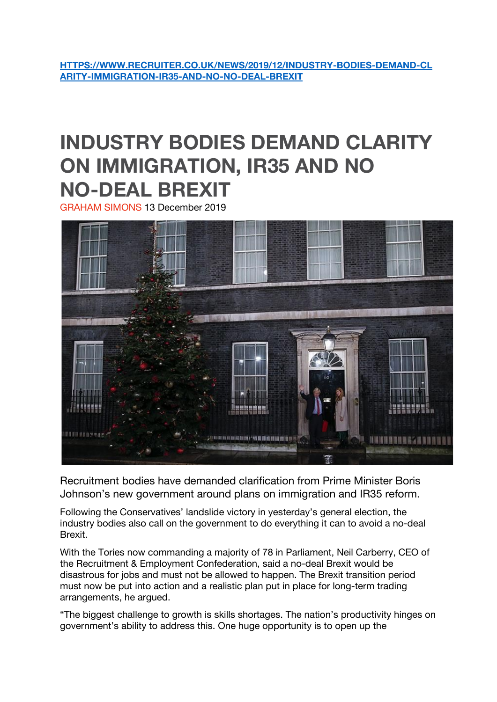**[HTTPS://WWW.RECRUITER.CO.UK/NEWS/2019/12/INDUSTRY-BODIES-DEMAND-CL](https://www.recruiter.co.uk/news/2019/12/industry-bodies-demand-clarity-immigration-ir35-and-no-no-deal-brexit) [ARITY-IMMIGRATION-IR35-AND-NO-NO-DEAL-BREXIT](https://www.recruiter.co.uk/news/2019/12/industry-bodies-demand-clarity-immigration-ir35-and-no-no-deal-brexit)**

## **INDUSTRY BODIES DEMAND CLARITY ON IMMIGRATION, IR35 AND NO NO-DEAL BREXIT**

GRAHAM SIMONS 13 December 2019



Recruitment bodies have demanded clarification from Prime Minister Boris Johnson's new government around plans on immigration and IR35 reform.

Following the Conservatives' landslide victory in yesterday's general election, the industry bodies also call on the government to do everything it can to avoid a no-deal Brexit.

With the Tories now commanding a majority of 78 in Parliament, Neil Carberry, CEO of the Recruitment & Employment Confederation, said a no-deal Brexit would be disastrous for jobs and must not be allowed to happen. The Brexit transition period must now be put into action and a realistic plan put in place for long-term trading arrangements, he argued.

"The biggest challenge to growth is skills shortages. The nation's productivity hinges on government's ability to address this. One huge opportunity is to open up the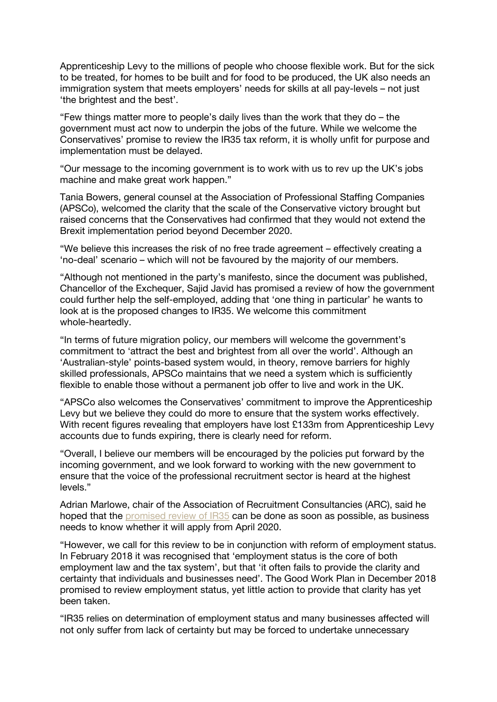Apprenticeship Levy to the millions of people who choose flexible work. But for the sick to be treated, for homes to be built and for food to be produced, the UK also needs an immigration system that meets employers' needs for skills at all pay-levels – not just 'the brightest and the best'.

"Few things matter more to people's daily lives than the work that they do – the government must act now to underpin the jobs of the future. While we welcome the Conservatives' promise to review the IR35 tax reform, it is wholly unfit for purpose and implementation must be delayed.

"Our message to the incoming government is to work with us to rev up the UK's jobs machine and make great work happen."

Tania Bowers, general counsel at the Association of Professional Staffing Companies (APSCo), welcomed the clarity that the scale of the Conservative victory brought but raised concerns that the Conservatives had confirmed that they would not extend the Brexit implementation period beyond December 2020.

"We believe this increases the risk of no free trade agreement – effectively creating a 'no-deal' scenario – which will not be favoured by the majority of our members.

"Although not mentioned in the party's manifesto, since the document was published, Chancellor of the Exchequer, Sajid Javid has promised a review of how the government could further help the self-employed, adding that 'one thing in particular' he wants to look at is the proposed changes to IR35. We welcome this commitment whole-heartedly.

"In terms of future migration policy, our members will welcome the government's commitment to 'attract the best and brightest from all over the world'. Although an 'Australian-style' points-based system would, in theory, remove barriers for highly skilled professionals, APSCo maintains that we need a system which is sufficiently flexible to enable those without a permanent job offer to live and work in the UK.

"APSCo also welcomes the Conservatives' commitment to improve the Apprenticeship Levy but we believe they could do more to ensure that the system works effectively. With recent figures revealing that employers have lost £133m from Apprenticeship Levy accounts due to funds expiring, there is clearly need for reform.

"Overall, I believe our members will be encouraged by the policies put forward by the incoming government, and we look forward to working with the new government to ensure that the voice of the professional recruitment sector is heard at the highest levels."

Adrian Marlowe, chair of the Association of Recruitment Consultancies (ARC), said he hoped that the [promised](https://www.recruiter.co.uk/news/2019/12/javid-pledges-tory-review-ir35-changes) review of IR35 can be done as soon as possible, as business needs to know whether it will apply from April 2020.

"However, we call for this review to be in conjunction with reform of employment status. In February 2018 it was recognised that 'employment status is the core of both employment law and the tax system', but that 'it often fails to provide the clarity and certainty that individuals and businesses need'. The Good Work Plan in December 2018 promised to review employment status, yet little action to provide that clarity has yet been taken.

"IR35 relies on determination of employment status and many businesses affected will not only suffer from lack of certainty but may be forced to undertake unnecessary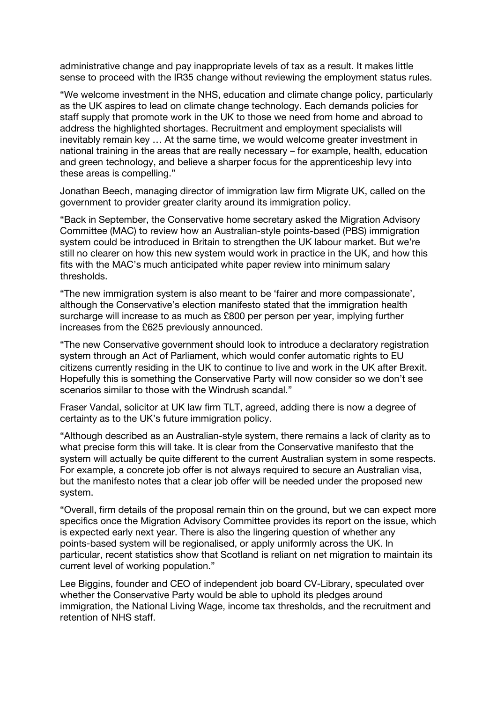administrative change and pay inappropriate levels of tax as a result. It makes little sense to proceed with the IR35 change without reviewing the employment status rules.

"We welcome investment in the NHS, education and climate change policy, particularly as the UK aspires to lead on climate change technology. Each demands policies for staff supply that promote work in the UK to those we need from home and abroad to address the highlighted shortages. Recruitment and employment specialists will inevitably remain key … At the same time, we would welcome greater investment in national training in the areas that are really necessary – for example, health, education and green technology, and believe a sharper focus for the apprenticeship levy into these areas is compelling."

Jonathan Beech, managing director of immigration law firm Migrate UK, called on the government to provider greater clarity around its immigration policy.

"Back in September, the Conservative home secretary asked the Migration Advisory Committee (MAC) to review how an Australian-style points-based (PBS) immigration system could be introduced in Britain to strengthen the UK labour market. But we're still no clearer on how this new system would work in practice in the UK, and how this fits with the MAC's much anticipated white paper review into minimum salary thresholds.

"The new immigration system is also meant to be 'fairer and more compassionate', although the Conservative's election manifesto stated that the immigration health surcharge will increase to as much as £800 per person per year, implying further increases from the £625 previously announced.

"The new Conservative government should look to introduce a declaratory registration system through an Act of Parliament, which would confer automatic rights to EU citizens currently residing in the UK to continue to live and work in the UK after Brexit. Hopefully this is something the Conservative Party will now consider so we don't see scenarios similar to those with the Windrush scandal."

Fraser Vandal, solicitor at UK law firm TLT, agreed, adding there is now a degree of certainty as to the UK's future immigration policy.

"Although described as an Australian-style system, there remains a lack of clarity as to what precise form this will take. It is clear from the Conservative manifesto that the system will actually be quite different to the current Australian system in some respects. For example, a concrete job offer is not always required to secure an Australian visa, but the manifesto notes that a clear job offer will be needed under the proposed new system.

"Overall, firm details of the proposal remain thin on the ground, but we can expect more specifics once the Migration Advisory Committee provides its report on the issue, which is expected early next year. There is also the lingering question of whether any points-based system will be regionalised, or apply uniformly across the UK. In particular, recent statistics show that Scotland is reliant on net migration to maintain its current level of working population."

Lee Biggins, founder and CEO of independent job board CV-Library, speculated over whether the Conservative Party would be able to uphold its pledges around immigration, the National Living Wage, income tax thresholds, and the recruitment and retention of NHS staff.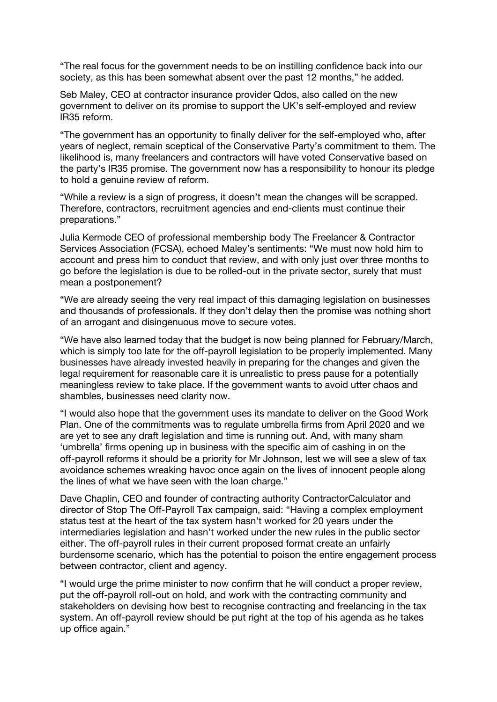"The real focus for the government needs to be on instilling confidence back into our society, as this has been somewhat absent over the past 12 months," he added.

Seb Maley, CEO at contractor insurance provider Qdos, also called on the new government to deliver on its promise to support the UK's self-employed and review IR35 reform.

"The government has an opportunity to finally deliver for the self-employed who, after years of neglect, remain sceptical of the Conservative Party's commitment to them. The likelihood is, many freelancers and contractors will have voted Conservative based on the party's IR35 promise. The government now has a responsibility to honour its pledge to hold a genuine review of reform.

"While a review is a sign of progress, it doesn't mean the changes will be scrapped. Therefore, contractors, recruitment agencies and end-clients must continue their preparations."

Julia Kermode CEO of professional membership body The Freelancer & Contractor Services Association (FCSA), echoed Maley's sentiments: "We must now hold him to account and press him to conduct that review, and with only just over three months to go before the legislation is due to be rolled-out in the private sector, surely that must mean a postponement?

"We are already seeing the very real impact of this damaging legislation on businesses and thousands of professionals. If they don't delay then the promise was nothing short of an arrogant and disingenuous move to secure votes.

"We have also learned today that the budget is now being planned for February/March, which is simply too late for the off-payroll legislation to be properly implemented. Many businesses have already invested heavily in preparing for the changes and given the legal requirement for reasonable care it is unrealistic to press pause for a potentially meaningless review to take place. If the government wants to avoid utter chaos and shambles, businesses need clarity now.

"I would also hope that the government uses its mandate to deliver on the Good Work Plan. One of the commitments was to regulate umbrella firms from April 2020 and we are yet to see any draft legislation and time is running out. And, with many sham 'umbrella' firms opening up in business with the specific aim of cashing in on the off-payroll reforms it should be a priority for Mr Johnson, lest we will see a slew of tax avoidance schemes wreaking havoc once again on the lives of innocent people along the lines of what we have seen with the loan charge."

Dave Chaplin, CEO and founder of contracting authority ContractorCalculator and director of Stop The Off-Payroll Tax campaign, said: "Having a complex employment status test at the heart of the tax system hasn't worked for 20 years under the intermediaries legislation and hasn't worked under the new rules in the public sector either. The off-payroll rules in their current proposed format create an unfairly burdensome scenario, which has the potential to poison the entire engagement process between contractor, client and agency.

"I would urge the prime minister to now confirm that he will conduct a proper review, put the off-payroll roll-out on hold, and work with the contracting community and stakeholders on devising how best to recognise contracting and freelancing in the tax system. An off-payroll review should be put right at the top of his agenda as he takes up office again."